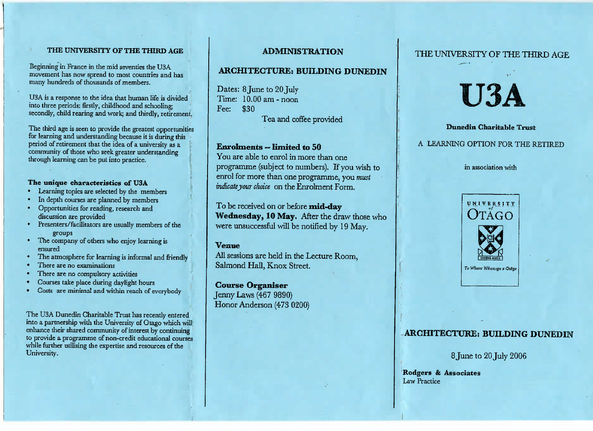## **THE UNIVERSITY OF THE THIRD AGE**

Beginning in France in the find seventies the OSA movement has now spread to most countries and has n France in the mid seventies the USAmany hundreds of thousands of members.

 $\frac{1}{2}$  a response to the fitca that human me is divided on is a response to the idea that huma no three periods: firstly, childhood and schooling;<br>secondly, child rearing and work; and thirdly, retirement,

The third age is seen to provide the greatest opportunities d age is seen to provide the greatest opportunities period of retirement that the idea of a university as a perio d of retirement that the idea of a universit y as a k greater understandingcommunity of those who see through learning can be put into practice.

# **The characteristics of USA**

- Learning topics are selected by the members
- In depth courses are planned by members
- n dept h courses are planne Opportunities for reading, research and
- discussion are provided<br>• Presenters/facilitators are usually members of the
- The company of others who enjoy learning is
- ensure d The atmosphere for learning is informal and friendly
- 
- There are no compulsory a
- to computsory activities<br>re place during davlight
- Courses take place during daylight hours Costs are minimal and within reach of everybody

nte Cort Dunedin Charnaole Trust has recently entered<br>nto a partnership with the University of Otago which wil n a partnership with the Oniversity of Otago which will<br>mhance their shared community of interest by continuing enhance their shared communit y of interest b y continuing to provide a programme of non-credit educational courseswhile rutting tunsing the expertise and resources of the University.

## **ADMINISTRATION**

## **ARCHITECTURE: BUILDING DUNEDIN**

Dates: 8 June to 20 July Time: 10.00 am - noon Fee: \$30I ea and coffee provided

## **Enrolments — limited to 50**

 You are able to enrol in more than one programme (subject to numbers). If you wish to enrol for more than one programme, you *mustindicate jour choice* on the Enrolment Form,

To be received on or before **mid-day Wednesday, 10 May.** After the draw those whowere unsuccessful will be notified by 19 May.

### **Venue**

 All sessions are held in the Lecture Room,Salmond Hall, Knox Street.

**Course Organiser** Jenny Laws (467 9890)Honor Anderson (473 0200)

## THE UNIVERSITY OF THE THIRD AGE

# U3A

#### **Dunedin Charitable Trust**

## A LEARNING OPTION FOR THE RETIRED

#### in association with



## **ARCHITECTURE: BUILDING DUNEDIN**

SJune to 20July 2006

**Rodgers & Associates**Law Practice